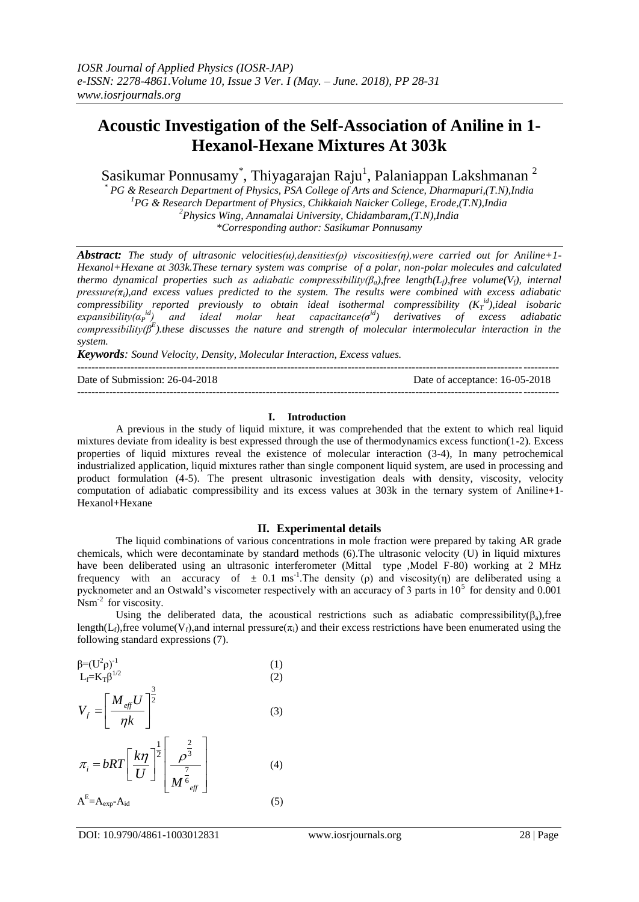# **Acoustic Investigation of the Self-Association of Aniline in 1- Hexanol-Hexane Mixtures At 303k**

Sasikumar Ponnusamy $^*$ , Thiyagarajan Raju $^1$ , Palaniappan Lakshmanan  $^2$ 

*\* PG & Research Department of Physics, PSA College of Arts and Science, Dharmapuri,(T.N),India <sup>1</sup>PG & Research Department of Physics, Chikkaiah Naicker College, Erode,(T.N),India <sup>2</sup>Physics Wing, Annamalai University, Chidambaram,(T.N),India \*Corresponding author: Sasikumar Ponnusamy*

*Abstract: The study of ultrasonic velocities(u),densities(ρ) viscosities(η),were carried out for Aniline+1- Hexanol+Hexane at 303k.These ternary system was comprise of a polar, non-polar molecules and calculated thermo dynamical properties such as adiabatic compressibility(βa),free length(Lf),free volume(Vf), internal pressure(πi),and excess values predicted to the system. The results were combined with excess adiabatic compressibility reported previously to obtain ideal isothermal compressibility (K<sup>T</sup> id),ideal isobaric expansibility*( $α<sub>P</sub><sup>id</sup>$ ) and ideal molar heat capacitance( $σ<sup>id</sup>$ ) derivatives of excess adiabatic *compressibility(β<sup>E</sup> ).these discusses the nature and strength of molecular intermolecular interaction in the system.*

*Keywords: Sound Velocity, Density, Molecular Interaction, Excess values.*

--------------------------------------------------------------------------------------------------------------------------------------- Date of Submission: 26-04-2018 Date of acceptance: 16-05-2018 ---------------------------------------------------------------------------------------------------------------------------------------

### **I. Introduction**

A previous in the study of liquid mixture, it was comprehended that the extent to which real liquid mixtures deviate from ideality is best expressed through the use of thermodynamics excess function(1-2). Excess properties of liquid mixtures reveal the existence of molecular interaction (3-4), In many petrochemical industrialized application, liquid mixtures rather than single component liquid system, are used in processing and product formulation (4-5). The present ultrasonic investigation deals with density, viscosity, velocity computation of adiabatic compressibility and its excess values at 303k in the ternary system of Aniline+1- Hexanol+Hexane

### **II. Experimental details**

The liquid combinations of various concentrations in mole fraction were prepared by taking AR grade chemicals, which were decontaminate by standard methods (6).The ultrasonic velocity (U) in liquid mixtures have been deliberated using an ultrasonic interferometer (Mittal type ,Model F-80) working at 2 MHz frequency with an accuracy of  $\pm$  0.1 ms<sup>-1</sup>. The density (ρ) and viscosity(η) are deliberated using a pycknometer and an Ostwald's viscometer respectively with an accuracy of 3 parts in  $10^5$  for density and 0.001 Nsm<sup>-2</sup> for viscosity.

Using the deliberated data, the acoustical restrictions such as adiabatic compressibility( $\beta_a$ ), free length(L<sub>f</sub>),free volume(V<sub>f</sub>),and internal pressure( $\pi$ <sub>i</sub>) and their excess restrictions have been enumerated using the following standard expressions (7).

$$
\beta = (U^{2} \rho)^{-1}
$$
\n
$$
U_{f} = \left[\frac{M_{eff} U}{\eta k}\right]^{2}
$$
\n(1)\n(2)\n(3)\n
$$
\pi_{i} = bRT \left[\frac{k\eta}{U}\right]^{2} \left[\frac{\rho^{\frac{2}{3}}}{M^{\frac{7}{6}}}\right]
$$
\n(3)

$$
A^{E}=A_{exp}-A_{id}
$$
 (5)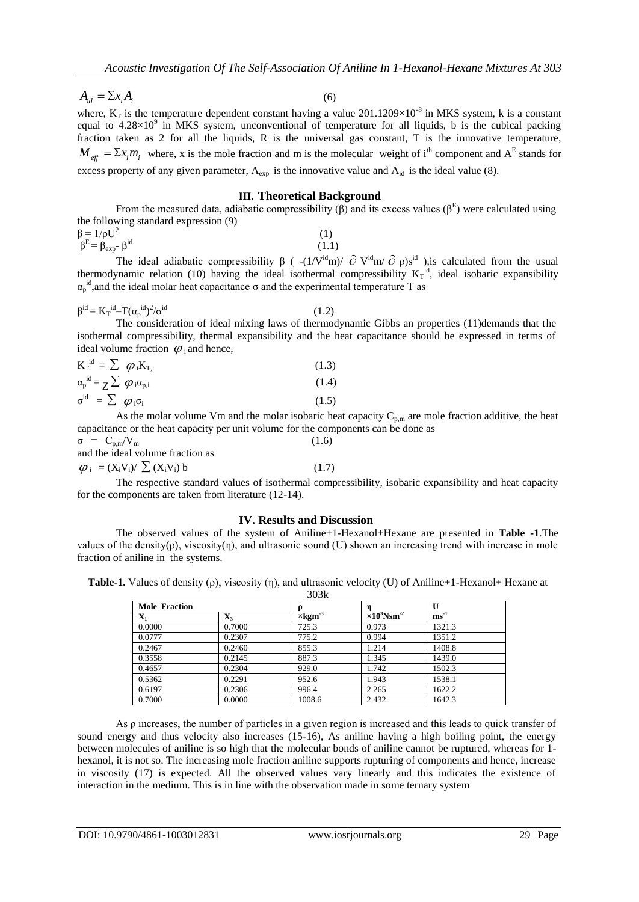$(6)$ 

 $A_{id} = \sum x_i A_i$ 

where,  $K_T$  is the temperature dependent constant having a value 201.1209×10<sup>-8</sup> in MKS system, k is a constant where,  $K_T$  is the temperature dependent constant having a value 201.1209×10<sup>-8</sup> in MKS system, k is a consta equal to  $4.28 \times 10^9$  in MKS system, unconventional of temperature for all liquids, b is the cubical packing fraction taken as 2 for all the liquids, R is the universal gas constant, T is the innovative temperature,  $M_{\text{eff}} = \Sigma x_i m_i$  where, x is the mole fraction and m is the molecular weight of i<sup>th</sup> component and A<sup>E</sup> stands for excess property of any given parameter,  $A_{\text{exp}}$  is the innovative value and  $A_{\text{id}}$  is the ideal value (8).

### **III. Theoretical Background**

From the measured data, adiabatic compressibility  $(\beta)$  and its excess values  $(\beta^E)$  were calculated using the following standard expression (9)  $\beta = 1/\rho U^2$ (1)

 $β^E = β_{exp} - β^{id}$  $(1.1)$ 

The ideal adiabatic compressibility  $\beta$  ( -(1/V<sup>id</sup>m)/  $\partial$  V<sup>id</sup>m/  $\partial$   $\rho$ )s<sup>id</sup> ), is calculated from the usual thermodynamic relation (10) having the ideal isothermal compressibility  $K_T^{id}$ , ideal isobaric expansibility  $\alpha_{p}^{id}$ , and the ideal molar heat capacitance  $\sigma$  and the experimental temperature T as

$$
\beta^{id} = K_T^{id} - T(\alpha_p^{id})^2/\sigma^{id}
$$

 $(1.2)$ 

The consideration of ideal mixing laws of thermodynamic Gibbs an properties (11)demands that the isothermal compressibility, thermal expansibility and the heat capacitance should be expressed in terms of ideal volume fraction  $\varphi$ <sub>i</sub> and hence,

$$
K_{T}^{id} = \sum \varphi_{i} K_{T,i}
$$
\n
$$
\sigma_{p}^{id} = \sum \varphi_{i} \sigma_{p,i}
$$
\n
$$
\sigma^{id} = \sum \varphi_{i} \sigma_{i}
$$
\n(1.3)\n
$$
\sigma^{id} = \sum \varphi_{i} \sigma_{i}
$$
\n(1.5)

As the molar volume Vm and the molar isobaric heat capacity  $C_{p,m}$  are mole fraction additive, the heat capacitance or the heat capacity per unit volume for the components can be done as  $\sigma = C_{p,m}/V_m$  (1.6)

and the ideal volume fraction as

 $\varphi_i = (X_i V_i) / \sum (X_i V_i) b$  (1.7)

The respective standard values of isothermal compressibility, isobaric expansibility and heat capacity for the components are taken from literature (12-14).

#### **IV. Results and Discussion**

The observed values of the system of Aniline+1-Hexanol+Hexane are presented in **Table -1**.The values of the density( $\rho$ ), viscosity( $\eta$ ), and ultrasonic sound (U) shown an increasing trend with increase in mole fraction of aniline in the systems.

**Table-1.** Values of density (ρ), viscosity (η), and ultrasonic velocity (U) of Aniline+1-Hexanol+ Hexane at 303k

| <b>Mole Fraction</b> |                | Q                          |                                 | U                |
|----------------------|----------------|----------------------------|---------------------------------|------------------|
| ${\bf X}_1$          | $\mathbf{X}_3$ | $\times$ kgm <sup>-3</sup> | $\times 10^3$ Nsm <sup>-2</sup> | $\text{ms}^{-1}$ |
| 0.0000               | 0.7000         | 725.3                      | 0.973                           | 1321.3           |
| 0.0777               | 0.2307         | 775.2                      | 0.994                           | 1351.2           |
| 0.2467               | 0.2460         | 855.3                      | 1.214                           | 1408.8           |
| 0.3558               | 0.2145         | 887.3                      | 1.345                           | 1439.0           |
| 0.4657               | 0.2304         | 929.0                      | 1.742                           | 1502.3           |
| 0.5362               | 0.2291         | 952.6                      | 1.943                           | 1538.1           |
| 0.6197               | 0.2306         | 996.4                      | 2.265                           | 1622.2           |
| 0.7000               | 0.0000         | 1008.6                     | 2.432                           | 1642.3           |

As ρ increases, the number of particles in a given region is increased and this leads to quick transfer of sound energy and thus velocity also increases (15-16), As aniline having a high boiling point, the energy between molecules of aniline is so high that the molecular bonds of aniline cannot be ruptured, whereas for 1 hexanol, it is not so. The increasing mole fraction aniline supports rupturing of components and hence, increase in viscosity (17) is expected. All the observed values vary linearly and this indicates the existence of interaction in the medium. This is in line with the observation made in some ternary system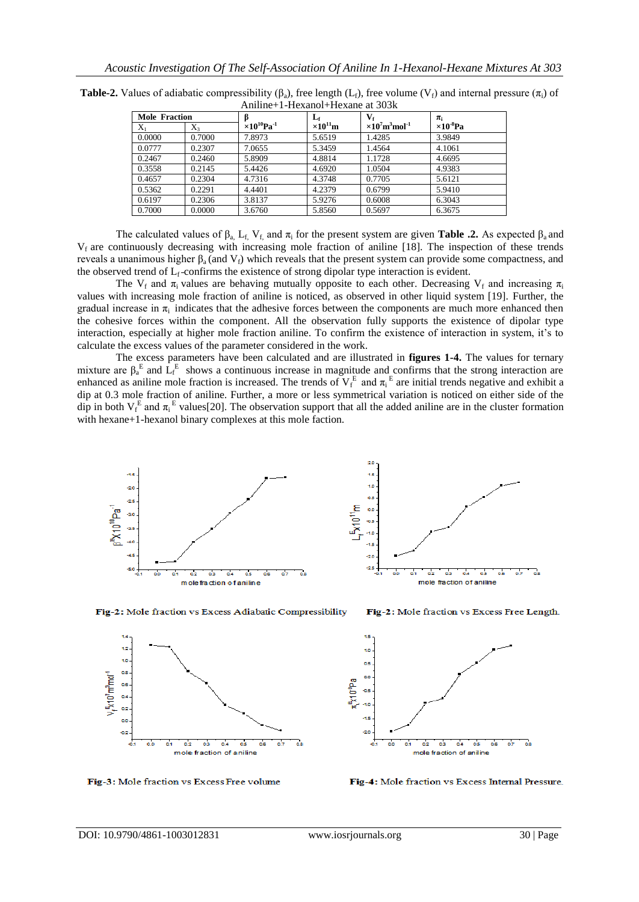| Mole Fraction |         |                                   | $L_{\rm f}$       | $\mathbf{V}_{\mathbf{f}}$                      | $\pi_i$             |
|---------------|---------|-----------------------------------|-------------------|------------------------------------------------|---------------------|
| $X_1$         | $X_{3}$ | $\times 10^{10}$ Pa <sup>-1</sup> | $\times10^{11}$ m | $\times 10^7$ m <sup>3</sup> mol <sup>-1</sup> | $\times 10^{-8}$ Pa |
| 0.0000        | 0.7000  | 7.8973                            | 5.6519            | 1.4285                                         | 3.9849              |
| 0.0777        | 0.2307  | 7.0655                            | 5.3459            | 1.4564                                         | 4.1061              |
| 0.2467        | 0.2460  | 5.8909                            | 4.8814            | 1.1728                                         | 4.6695              |
| 0.3558        | 0.2145  | 5.4426                            | 4.6920            | 1.0504                                         | 4.9383              |
| 0.4657        | 0.2304  | 4.7316                            | 4.3748            | 0.7705                                         | 5.6121              |
| 0.5362        | 0.2291  | 4.4401                            | 4.2379            | 0.6799                                         | 5.9410              |
| 0.6197        | 0.2306  | 3.8137                            | 5.9276            | 0.6008                                         | 6.3043              |
| 0.7000        | 0.0000  | 3.6760                            | 5.8560            | 0.5697                                         | 6.3675              |

**Table-2.** Values of adiabatic compressibility  $(\beta_0)$ , free length  $(L_f)$ , free volume  $(V_f)$  and internal pressure  $(\pi_i)$  of Aniline+1-Hexanol+Hexane at 303k

The calculated values of  $\beta_a$ , L<sub>f,</sub> V<sub>f,</sub> and  $\pi_i$  for the present system are given **Table .2.** As expected  $\beta_a$  and  $V_f$  are continuously decreasing with increasing mole fraction of aniline [18]. The inspection of these trends reveals a unanimous higher  $β_a$  (and  $V_f$ ) which reveals that the present system can provide some compactness, and the observed trend of  $L_f$ -confirms the existence of strong dipolar type interaction is evident.

The V<sub>f</sub> and  $\pi_i$  values are behaving mutually opposite to each other. Decreasing V<sub>f</sub> and increasing  $\pi_i$ values with increasing mole fraction of aniline is noticed, as observed in other liquid system [19]. Further, the gradual increase in  $\pi_i$  indicates that the adhesive forces between the components are much more enhanced then the cohesive forces within the component. All the observation fully supports the existence of dipolar type interaction, especially at higher mole fraction aniline. To confirm the existence of interaction in system, it's to calculate the excess values of the parameter considered in the work.

The excess parameters have been calculated and are illustrated in **figures 1-4.** The values for ternary mixture are  $\beta_a^E$  and  $\overline{L}_f^E$  shows a continuous increase in magnitude and confirms that the strong interaction are enhanced as aniline mole fraction is increased. The trends of  $V_f^E$  and  $\pi_i^E$  are initial trends negative and exhibit a dip at 0.3 mole fraction of aniline. Further, a more or less symmetrical variation is noticed on either side of the dip in both  $V_f^E$  and  $\pi_i^E$  values[20]. The observation support that all the added aniline are in the cluster formation with hexane+1-hexanol binary complexes at this mole faction.



Fig-2: Mole fraction vs Excess Adiabatic Compressibility



Fig-3: Mole fraction vs Excess Free volume

ö3

63

 $0.4$ 

mole fraction of aniline

 $\overline{\phantom{a}}$ 

Fig-4: Mole fraction vs Excess Internal Pressure.

Fig-2: Mole fraction vs Excess Free Length.

ts.

1.0

os

 $\alpha$ 

o. os  $\alpha$ 

-as

 $V_*$   $\times$  10' m<sup>3</sup>mol<sup>-1</sup>